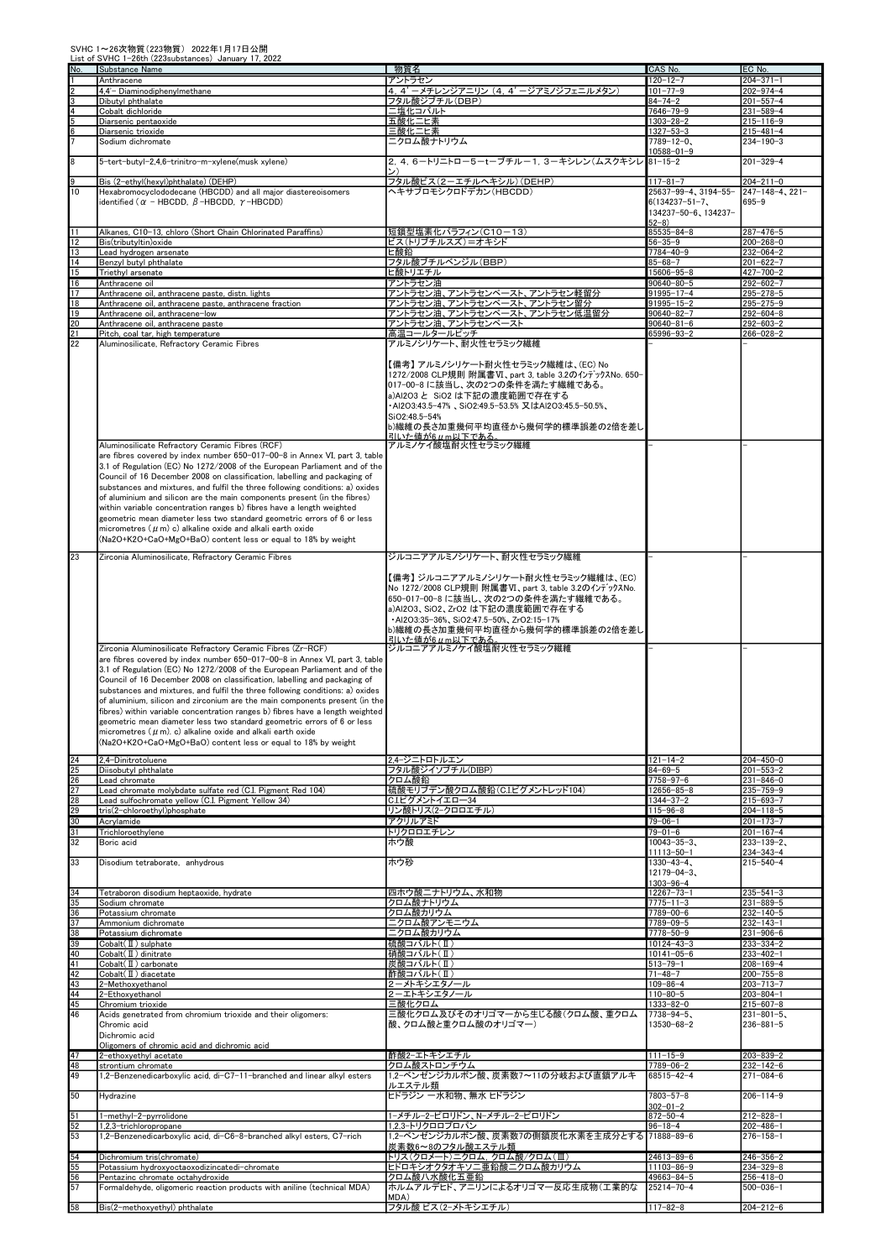|                                      | List of SVHC 1-20th (223 substances) January 17, 2022<br>Substance Name                                                                                    | 物質名                                                                          | CAS No.                               | EC No                                        |
|--------------------------------------|------------------------------------------------------------------------------------------------------------------------------------------------------------|------------------------------------------------------------------------------|---------------------------------------|----------------------------------------------|
| $\frac{\text{No}}{1}$                | Anthracene                                                                                                                                                 | アントラセン                                                                       | $120 - 12 - 7$                        | $204 - 371 - 1$                              |
|                                      | 4,4'- Diaminodiphenylmethane                                                                                                                               | 4, 4' - メチレンジアニリン (4, 4' -ジアミノジフェニルメタン)                                      | $101 - 77 - 9$                        | $202 - 974 - 4$                              |
|                                      | Dibutyl phthalate                                                                                                                                          | フタル酸ジブチル(DBP)                                                                | 84-74-2                               | $201 - 557 - 4$                              |
|                                      | Cobalt dichloride                                                                                                                                          | ニ塩化コバルト                                                                      | $7646 - 79 - 9$                       | $231 - 589 - 4$                              |
| 이어버이                                 | Diarsenic pentaoxide                                                                                                                                       | 五酸化二ヒ素<br>三酸化二ヒ素                                                             | $1303 - 28 - 2$<br>$1327 - 53 - 3$    | $215 - 116 - 9$<br>$215 - 481 - 4$           |
|                                      | Diarsenic trioxide<br>Sodium dichromate                                                                                                                    | ニクロム酸ナトリウム                                                                   | $7789 - 12 - 0.$                      | $234 - 190 - 3$                              |
|                                      |                                                                                                                                                            |                                                                              | $10588 - 01 - 9$                      |                                              |
| $\overline{\overline{\overline{8}}}$ | 5-tert-butyl-2,4,6-trinitro-m-xylene(musk xylene)                                                                                                          | 2, 4, 6-トリニトロー5-tーブチルー1, 3ーキシレン(ムスクキシレ                                       | $81 - 15 - 2$                         | $201 - 329 - 4$                              |
|                                      |                                                                                                                                                            |                                                                              |                                       |                                              |
| $\frac{9}{10}$                       | Bis (2-ethyl(hexyl)phthalate) (DEHP)<br>Hexabromocyclododecane (HBCDD) and all major diastereoisomers                                                      | フタル酸ビス(2-エチルヘキシル)(DEHP)<br>ヘキサブロモシクロドデカン(HBCDD)                              | $117 - 81 - 7$<br>25637-99-4、3194-55- | $204 - 211 - 0$<br>$247 - 148 - 4$ , $221 -$ |
|                                      | identified ( $\alpha$ - HBCDD, $\beta$ -HBCDD, $\gamma$ -HBCDD)                                                                                            |                                                                              | $6(134237 - 51 - 7)$                  | $695 - 9$                                    |
|                                      |                                                                                                                                                            |                                                                              | 134237-50-6、134237-                   |                                              |
|                                      |                                                                                                                                                            |                                                                              | $52 - 8$                              |                                              |
| $\overline{11}$                      | Alkanes, C10-13, chloro (Short Chain Chlorinated Paraffins)<br>Bis(tributyltin) oxide                                                                      | 短鎖型塩素化パラフィン(C10-13)<br>ビス(トリブチルスズ)=オキシド                                      | 85535-84-8<br>$56 - 35 - 9$           | $287 - 476 - 5$<br>$200 - 268 - 0$           |
| $\frac{12}{13}$                      | Lead hydrogen arsenate                                                                                                                                     | ヒ酸鉛                                                                          | 7784-40-9                             | $232 - 064 - 2$                              |
| 14                                   | Benzyl butyl phthalate                                                                                                                                     | フタル酸ブチルベンジル(BBP)                                                             | $85 - 68 - 7$                         | $201 - 622 - 7$                              |
| 15                                   | Triethyl arsenate                                                                                                                                          | ヒ酸トリエチル                                                                      | 15606-95-8                            | $427 - 700 - 2$                              |
| $\frac{16}{17}$                      | Anthracene oil                                                                                                                                             | アントラセン油                                                                      | $90640 - 80 - 5$                      | $292 - 602 - 7$                              |
|                                      | Anthracene oil, anthracene paste, distn. lights<br>Anthracene oil, anthracene paste, anthracene fraction                                                   | アントラセン油、アントラセンペースト、アントラセン軽留分<br>アントラセン油、アントラセンペースト、アントラセン留分                  | 91995-17-4<br>91995-15-2              | $295 - 278 - 5$<br>$295 - 275 - 9$           |
|                                      | Anthracene oil, anthracene-low                                                                                                                             | アントラセン油、アントラセンペースト、アントラセン低温留分                                                | $90640 - 82 - 7$                      | $292 - 604 - 8$                              |
| $rac{18}{22}$<br>$rac{19}{22}$       | Anthracene oil, anthracene paste                                                                                                                           | アントラセン油、アントラセンペースト                                                           | $90640 - 81 - 6$                      | $292 - 603 - 2$                              |
|                                      | Pitch, coal tar, high temperature                                                                                                                          | 高温コールタールピッチ                                                                  | 65996-93-2                            | $266 - 028 - 2$                              |
|                                      | Aluminosilicate, Refractory Ceramic Fibres                                                                                                                 | アルミノシリケート、耐火性セラミック繊維                                                         |                                       |                                              |
|                                      |                                                                                                                                                            | 【備考】 アルミノシリケート耐火性セラミック繊維は、(EC) No                                            |                                       |                                              |
|                                      |                                                                                                                                                            | 1272/2008 CLP規則 附属書VI、part 3, table 3.2のインデックスNo. 650-                       |                                       |                                              |
|                                      |                                                                                                                                                            | 017-00-8 に該当し、次の2つの条件を満たす繊維である。                                              |                                       |                                              |
|                                      |                                                                                                                                                            | a)Al2O3 と SiO2 は下記の濃度範囲で存在する                                                 |                                       |                                              |
|                                      |                                                                                                                                                            | -AI2O3:43.5-47%、SiO2:49.5-53.5%又はAI2O3:45.5-50.5%、                           |                                       |                                              |
|                                      |                                                                                                                                                            | SiO2:48.5-54%<br>b)繊維の長さ加重幾何平均直径から幾何学的標準誤差の2倍を差し                             |                                       |                                              |
|                                      |                                                                                                                                                            | 引いた値が6μm以下である                                                                |                                       |                                              |
|                                      | Aluminosilicate Refractory Ceramic Fibres (RCF)                                                                                                            | アルミノケイ酸塩耐火性セラミック繊維                                                           |                                       |                                              |
|                                      | are fibres covered by index number 650-017-00-8 in Annex VI, part 3, table                                                                                 |                                                                              |                                       |                                              |
|                                      | 3.1 of Regulation (EC) No 1272/2008 of the European Parliament and of the                                                                                  |                                                                              |                                       |                                              |
|                                      | Council of 16 December 2008 on classification, labelling and packaging of<br>substances and mixtures, and fulfil the three following conditions: a) oxides |                                                                              |                                       |                                              |
|                                      | of aluminium and silicon are the main components present (in the fibres)                                                                                   |                                                                              |                                       |                                              |
|                                      | within variable concentration ranges b) fibres have a length weighted                                                                                      |                                                                              |                                       |                                              |
|                                      | geometric mean diameter less two standard geometric errors of 6 or less                                                                                    |                                                                              |                                       |                                              |
|                                      | micrometres ( $\mu$ m) c) alkaline oxide and alkali earth oxide                                                                                            |                                                                              |                                       |                                              |
|                                      | (Na2O+K2O+CaO+MgO+BaO) content less or equal to 18% by weight                                                                                              |                                                                              |                                       |                                              |
| $\overline{23}$                      | Zirconia Aluminosilicate, Refractory Ceramic Fibres                                                                                                        | ジルコニアアルミノシリケート、耐火性セラミック繊維                                                    |                                       |                                              |
|                                      |                                                                                                                                                            |                                                                              |                                       |                                              |
|                                      |                                                                                                                                                            | 【備考】 ジルコニアアルミノシリケート耐火性セラミック繊維は、(EC)                                          |                                       |                                              |
|                                      |                                                                                                                                                            | No 1272/2008 CLP規則 附属書VI、part 3, table 3.2のインデックスNo.                         |                                       |                                              |
|                                      |                                                                                                                                                            | 650-017-00-8 に該当し、次の2つの条件を満たす繊維である。                                          |                                       |                                              |
|                                      |                                                                                                                                                            | a)Al2O3、SiO2、ZrO2 は下記の濃度範囲で存在する<br>-AI2O3:35-36%, SiO2:47.5-50%, ZrO2:15-17% |                                       |                                              |
|                                      |                                                                                                                                                            | b)繊維の長さ加重幾何平均直径から幾何学的標準誤差の2倍を差し                                              |                                       |                                              |
|                                      |                                                                                                                                                            | <u>引いた値が6μm以下である</u>                                                         |                                       |                                              |
|                                      | Zirconia Aluminosilicate Refractory Ceramic Fibres (Zr-RCF)                                                                                                | ジルコニアアルミノケイ酸塩耐火性セラミック繊維                                                      |                                       |                                              |
|                                      | are fibres covered by index number 650-017-00-8 in Annex VI, part 3, table                                                                                 |                                                                              |                                       |                                              |
|                                      | 3.1 of Regulation (EC) No 1272/2008 of the European Parliament and of the<br>Council of 16 December 2008 on classification, labelling and packaging of     |                                                                              |                                       |                                              |
|                                      | substances and mixtures, and fulfil the three following conditions: a) oxides                                                                              |                                                                              |                                       |                                              |
|                                      | of aluminium, silicon and zirconium are the main components present (in the                                                                                |                                                                              |                                       |                                              |
|                                      | fibres) within variable concentration ranges b) fibres have a length weighted                                                                              |                                                                              |                                       |                                              |
|                                      | geometric mean diameter less two standard geometric errors of 6 or less                                                                                    |                                                                              |                                       |                                              |
|                                      | micrometres $(\mu$ m). c) alkaline oxide and alkali earth oxide                                                                                            |                                                                              |                                       |                                              |
|                                      | (Na2O+K2O+CaO+MgO+BaO) content less or equal to 18% by weight                                                                                              |                                                                              |                                       |                                              |
|                                      | 2.4-Dinitrotoluene                                                                                                                                         | 2,4-ジニトロトルエン                                                                 | $121 - 14 - 2$                        | $204 - 450 - 0$                              |
|                                      | Diisobutyl phthalate                                                                                                                                       | フタル酸ジイソブチル(DIBP)                                                             | $84 - 69 - 5$                         | $201 - 553 - 2$                              |
|                                      | Lead chromate<br>Lead chromate molybdate sulfate red (C.I. Pigment Red 104)                                                                                | クロム酸鉛<br>硫酸モリブデン酸クロム酸鉛(C.Iピグメントレッド104)                                       | 7758-97-6<br>12656–85–8               | $231 - 846 - 0$<br>$235 - 759 - 9$           |
|                                      | Lead sulfochromate vellow (C.I. Pigment Yellow 34)                                                                                                         | C.I.ピグメントイエロー34                                                              | $1344 - 37 - 2$                       | $215 - 693 - 7$                              |
|                                      | tris(2-chloroethyl)phosphate                                                                                                                               | リン酸トリス(2-クロロエチル)                                                             | $115 - 96 - 8$                        | $204 - 118 - 5$                              |
|                                      | Acrylamide                                                                                                                                                 | アクリルアミド                                                                      | $79 - 06 - 1$                         | $201 - 173 - 7$                              |
|                                      | Trichloroethylene                                                                                                                                          | トリクロロエチレン                                                                    | $79 - 01 - 6$                         | $201 - 167 - 4$                              |
|                                      | Boric acid                                                                                                                                                 | ホウ酸                                                                          | $10043 - 35 - 3$<br>11113-50-1        | $233 - 139 - 2$<br>$234 - 343 - 4$           |
| $\overline{33}$                      | Disodium tetraborate, anhydrous                                                                                                                            | ホウ砂                                                                          | $1330 - 43 - 4$                       | $215 - 540 - 4$                              |
|                                      |                                                                                                                                                            |                                                                              | $12179 - 04 - 3$                      |                                              |
|                                      |                                                                                                                                                            |                                                                              | $1303 - 96 - 4$                       |                                              |
|                                      | Tetraboron disodium heptaoxide, hydrate                                                                                                                    | 四ホウ酸ニナトリウム、水和物                                                               | $12267 - 73 - 1$<br>7775-11-3         | $235 - 541 - 3$<br>$231 - 889 - 5$           |
|                                      | Sodium chromate<br>Potassium chromate                                                                                                                      | クロム酸ナトリウム<br>クロム酸カリウム                                                        | $7789 - 00 - 6$                       | $232 - 140 - 5$                              |
|                                      | Ammonium dichromate                                                                                                                                        | ニクロム酸アンモニウム                                                                  | 7789-09-5                             | $232 - 143 - 1$                              |
|                                      | Potassium dichromate                                                                                                                                       | ニクロム酸カリウム                                                                    | 7778-50-9                             | $231 - 906 - 6$                              |
|                                      | $Cobalt( \mathbf{I})$ sulphate                                                                                                                             | 硫酸コバルト(Ⅱ)                                                                    | $10124 - 43 - 3$                      | $233 - 334 - 2$                              |
|                                      | Cobalt(II) dinitrate<br>Cobalt(II) carbonate                                                                                                               | 硝酸コバルト(Ⅱ)<br> 炭酸コバルト(Ⅱ)                                                      | $10141 - 05 - 6$<br>$513 - 79 - 1$    | $233 - 402 - 1$<br>$208 - 169 - 4$           |
|                                      | Cobalt(II) diacetate                                                                                                                                       | 酢酸コバルト(Ⅱ)                                                                    | $71 - 48 - 7$                         | $200 - 755 - 8$                              |
|                                      | 2-Methoxyethanol                                                                                                                                           | 2-メトキシエタノール                                                                  | $109 - 86 - 4$                        | $203 - 713 - 7$                              |
|                                      | 2-Ethoxyethanol                                                                                                                                            | 2-エトキシエタノール                                                                  | $110 - 80 - 5$                        | $203 - 804 - 1$                              |
|                                      | Chromium trioxide                                                                                                                                          | 三酸化クロム<br>三酸化クロム及びそのオリゴマーから生じる酸(クロム酸、重クロム                                    | $1333 - 82 - 0$                       | $215 - 607 - 8$<br>$231 - 801 - 5$           |
|                                      | Acids genetrated from chromium trioxide and their oligomers:<br>Chromic acid                                                                               | 酸、クロム酸と重クロム酸のオリゴマー)                                                          | $7738 - 94 - 5$<br>13530-68-2         | $236 - 881 - 5$                              |
|                                      | Dichromic acid                                                                                                                                             |                                                                              |                                       |                                              |
|                                      | Oligomers of chromic acid and dichromic acid                                                                                                               |                                                                              |                                       |                                              |
| $\frac{47}{48}$                      | 2-ethoxyethyl acetate                                                                                                                                      | 酢酸2ーエトキシエチル                                                                  | $111 - 15 - 9$                        | $203 - 839 - 2$                              |
|                                      | strontium chromate<br>1,2-Benzenedicarboxylic acid, di-C7-11-branched and linear alkyl esters                                                              | クロム酸ストロンチウム<br>1,2-ベンゼンジカルボン酸、炭素数7~11の分岐および直鎖アルキ                             | 7789-06-2<br>68515-42-4               | 232-142-6<br>$271 - 084 - 6$                 |
|                                      |                                                                                                                                                            | ルエステル類                                                                       |                                       |                                              |
| 50                                   | Hydrazine                                                                                                                                                  | ヒドラジン 一水和物、無水 ヒドラジン                                                          | 7803-57-8                             | $206 - 114 - 9$                              |
|                                      |                                                                                                                                                            |                                                                              | $302 - 01 - 2$                        |                                              |
|                                      | 1-methyl-2-pyrrolidone                                                                                                                                     | 1-メチル-2-ピロリドン、N-メチル-2-ピロリドン                                                  | $872 - 50 - 4$                        | $212 - 828 - 1$                              |
| $\frac{51}{52}$                      | 1,2,3-trichloropropane<br>1,2-Benzenedicarboxylic acid, di-C6-8-branched alkyl esters, C7-rich                                                             | 1,2,3-トリクロロプロパン<br>1.2ーベンゼンジカルボン酸、炭素数7の側鎖炭化水素を主成分とする                         | $96 - 18 - 4$<br>71888-89-6           | 202-486-1<br>$276 - 158 - 1$                 |
|                                      |                                                                                                                                                            | 炭素数6~8のフタル酸エステル類                                                             |                                       |                                              |
| 54<br>55                             | Dichromium tris(chromate)                                                                                                                                  | トリス(クロメート)ニクロム, クロム酸/クロム(Ⅲ)                                                  | 24613-89-6                            | $246 - 356 - 2$                              |
|                                      | Potassium hydroxyoctaoxodizincatedi-chromate                                                                                                               | ヒドロキシオクタオキソニ亜鉛酸ニクロム酸カリウム                                                     | 11103-86-9                            | $234 - 329 - 8$                              |
| $\frac{56}{57}$                      | Pentazinc chromate octahydroxide                                                                                                                           | クロム酸八水酸化五亜鉛<br>ホルムアルデヒド、アニリンによるオリゴマ一反応生成物(工業的な                               | 49663-84-5                            | $256 - 418 - 0$                              |
|                                      | Formaldehyde, oligomeric reaction products with aniline (technical MDA)                                                                                    | MDA)                                                                         | 25214-70-4                            | $500 - 036 - 1$                              |
| 58                                   | Bis(2-methoxyethyl) phthalate                                                                                                                              | フタル酸 ビス(2-メトキシエチル)                                                           | $117 - 82 - 8$                        | 204-212-6                                    |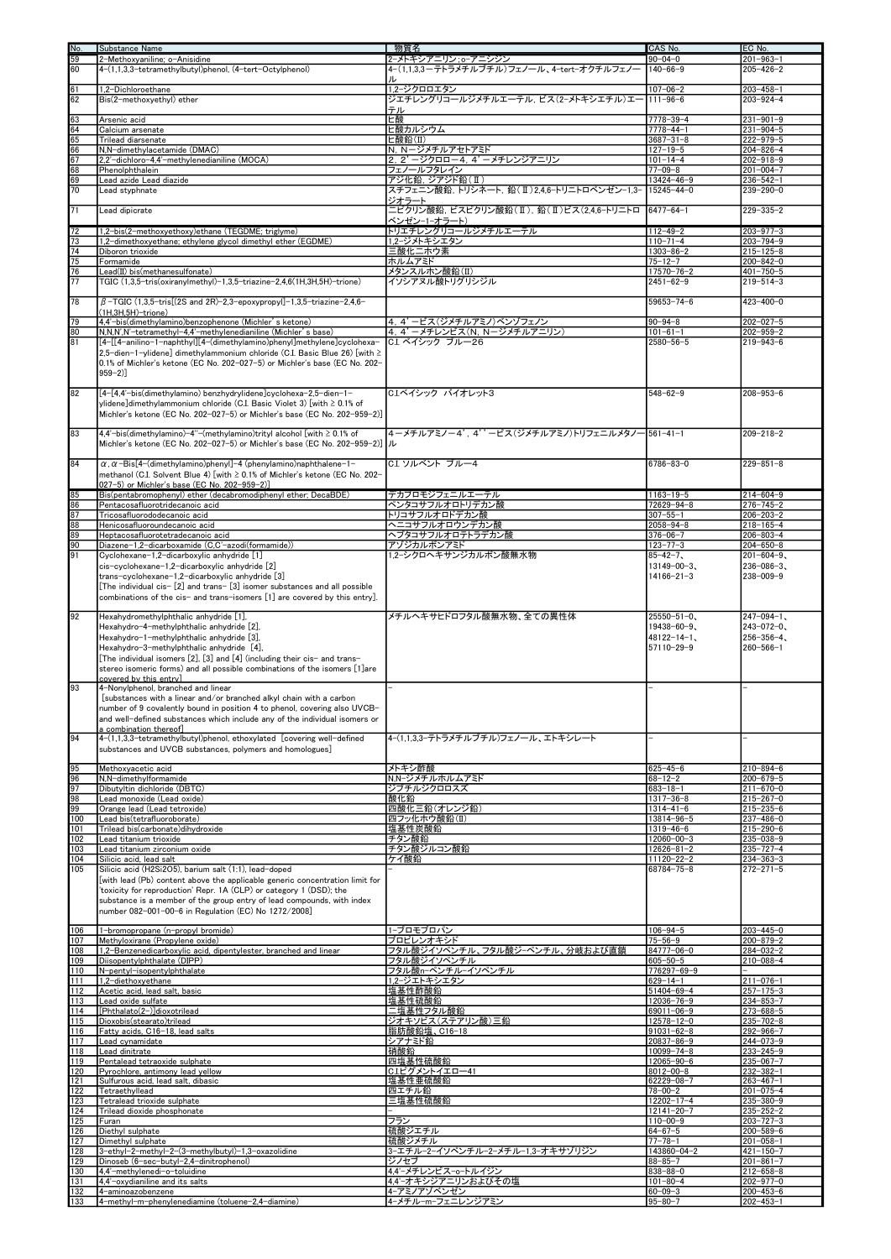| No.                                                   | Substance Name                                                                                                                                                                                                                                                                        | 物質名                                               | CAS No.                                | EC No.                             |
|-------------------------------------------------------|---------------------------------------------------------------------------------------------------------------------------------------------------------------------------------------------------------------------------------------------------------------------------------------|---------------------------------------------------|----------------------------------------|------------------------------------|
| 59                                                    | 2-Methoxyaniline; o-Anisidine                                                                                                                                                                                                                                                         | 2-メトキシアニリン:o-アニシジン                                | $90 - 04 - 0$                          | $201 - 963 - 1$                    |
| 60                                                    | 4-(1,1,3,3-tetramethylbutyl)phenol, (4-tert-Octylphenol)                                                                                                                                                                                                                              | 4-(1,1,3,3-テトラメチルブチル)フェノール、4-tert-オクチルフェノ-        | $140 - 66 - 9$                         | $205 - 426 - 2$                    |
| 61                                                    | 1,2-Dichloroethane                                                                                                                                                                                                                                                                    | 1.2-ジクロロエタン                                       | $107 - 06 - 2$                         | $203 - 458 - 1$                    |
| 62                                                    | Bis(2-methoxyethyl) ether                                                                                                                                                                                                                                                             | ジエチレングリコールジメチルエーテル, ビス(2-メトキシエチル)エー               | $111 - 96 - 6$                         | $203 - 924 - 4$                    |
|                                                       |                                                                                                                                                                                                                                                                                       | テル                                                |                                        |                                    |
| 63                                                    | Arsenic acid                                                                                                                                                                                                                                                                          | ヒ酸                                                | $7778 - 39 - 4$                        | $231 - 901 - 9$                    |
|                                                       | Calcium arsenate                                                                                                                                                                                                                                                                      | ヒ酸カルシウム                                           | $7778 - 44 - 1$                        | $231 - 904 - 5$                    |
|                                                       | Trilead diarsenate<br>N,N-dimethylacetamide (DMAC)                                                                                                                                                                                                                                    | ヒ酸鉛(II)<br>N. N-ジメチルアセトアミド                        | $3687 - 31 - 8$                        | $222 - 979 - 5$                    |
| $rac{64}{65}$<br>$rac{65}{66}$<br>07                  | 2,2'-dichloro-4,4'-methylenedianiline (MOCA)                                                                                                                                                                                                                                          | 2, 2' -ジクロロー4, 4' -メチレンジアニリン                      | $127 - 19 - 5$<br>$101 - 14 - 4$       | $204 - 826 - 4$<br>$202 - 918 - 9$ |
|                                                       | Phenolphthalein                                                                                                                                                                                                                                                                       | フェノールフタレイン                                        | $77 - 09 - 8$                          | $201 - 004 - 7$                    |
| $\frac{68}{69}$                                       | Lead azide Lead diazide                                                                                                                                                                                                                                                               | アジ化鉛, ジアジド鉛(II)                                   | $13424 - 46 - 9$                       | $236 - 542 - 1$                    |
| 70                                                    | Lead styphnate                                                                                                                                                                                                                                                                        | スチフェニン酸鉛, トリシネート, 鉛(Ⅱ)2,4,6-トリニトロベンゼン−1,3−        | $15245 - 44 - 0$                       | $239 - 290 - 0$                    |
| 71                                                    | Lead dipicrate                                                                                                                                                                                                                                                                        | ジオラート<br>ニピクリン酸鉛, ビスピクリン酸鉛(Ⅱ), 鉛(Ⅱ)ビス(2,4,6-トリニトロ | $6477 - 64 - 1$                        | $229 - 335 - 2$                    |
|                                                       |                                                                                                                                                                                                                                                                                       | ベンゼン-1-オラート)                                      |                                        |                                    |
| $\frac{72}{73}$<br>$\frac{73}{74}$<br>$\frac{74}{75}$ | 1,2-bis(2-methoxyethoxy)ethane (TEGDME; triglyme)                                                                                                                                                                                                                                     | トリエチレングリコールジメチルエーテル                               | $112 - 49 - 2$                         | $203 - 977 - 3$                    |
|                                                       | 1,2-dimethoxyethane; ethylene glycol dimethyl ether (EGDME)                                                                                                                                                                                                                           | 1.2-ジメトキシエタン                                      | $110 - 71 - 4$                         | $203 - 794 - 9$                    |
|                                                       | Diboron trioxide<br>Formamide                                                                                                                                                                                                                                                         | 三酸化二ホウ素<br>ホルムアミド                                 | $1303 - 86 - 2$<br>$75 - 12 - 7$       | $215 - 125 - 8$<br>$200 - 842 - 0$ |
| 76                                                    | Lead(II) bis(methanesulfonate)                                                                                                                                                                                                                                                        | メタンスルホン酸鉛(II)                                     | $17570 - 76 - 2$                       | $401 - 750 - 5$                    |
| $\overline{77}$                                       | TGIC (1,3,5-tris(oxiranylmethyl)-1,3,5-triazine-2,4,6(1H,3H,5H)-trione)                                                                                                                                                                                                               | イソシアヌル酸トリグリシジル                                    | $2451 - 62 - 9$                        | $219 - 514 - 3$                    |
|                                                       |                                                                                                                                                                                                                                                                                       |                                                   |                                        |                                    |
| 78                                                    | $\beta$ -TGIC (1,3,5-tris[(2S and 2R)-2,3-epoxypropyl]-1,3,5-triazine-2,4,6-<br>(1H,3H,5H)-trione)                                                                                                                                                                                    |                                                   | $59653 - 74 - 6$                       | $423 - 400 - 0$                    |
| 79                                                    | 4,4'-bis(dimethylamino)benzophenone (Michler's ketone)                                                                                                                                                                                                                                | 4.4'ービス(ジメチルアミノ)ベンゾフェノン                           | $90 - 94 - 8$                          | $202 - 027 - 5$                    |
| $\frac{80}{81}$                                       | N,N,N',N'-tetramethyl-4,4'-methylenedianiline (Michler's base)                                                                                                                                                                                                                        | 4.4'-メチレンビス (N, N-ジメチルアニリン)                       | $101 - 61 - 1$                         | $202 - 959 - 2$                    |
|                                                       | [4-[[4-anilino-1-naphthyl][4-(dimethylamino)phenyl]methylene]cyclohexa-                                                                                                                                                                                                               | C.I. ベイシック ブルー26                                  | $2580 - 56 - 5$                        | $219 - 943 - 6$                    |
|                                                       | 2.5-dien-1-vlidene] dimethvlammonium chloride (C.I. Basic Blue 26) [with ≥<br>0.1% of Michler's ketone (EC No. 202-027-5) or Michler's base (EC No. 202-<br>$959 - 2)$                                                                                                                |                                                   |                                        |                                    |
| 82                                                    | [4-[4.4'-bis(dimethylamino) benzhydrylidene]cyclohexa-2.5-dien-1-<br>ylidene]dimethylammonium chloride (C.I. Basic Violet 3) [with $\geq 0.1\%$ of<br>Michler's ketone (EC No. 202-027-5) or Michler's base (EC No. 202-959-2)]                                                       | C.Iベイシック バイオレット3                                  | $548 - 62 - 9$                         | $208 - 953 - 6$                    |
| 83                                                    | 4,4'-bis(dimethylamino)-4"-(methylamino)trityl alcohol [with $\geq$ 0.1% of<br>Michler's ketone (EC No. 202-027-5) or Michler's base (EC No. 202-959-2)]   JL                                                                                                                         | 4-メチルアミノー4',4''ービス(ジメチルアミノ)トリフェニルメタノー561-41-1     |                                        | $209 - 218 - 2$                    |
| 84                                                    | $\alpha$ , $\alpha$ -Bis[4-(dimethylamino)phenyl]-4 (phenylamino)naphthalene-1-<br> methanol (C.I. Solvent Blue 4) [with ≥ 0.1% of Michler's ketone (EC No. 202-<br>027-5) or Michler's base (EC No. 202-959-2)]                                                                      | C.I. ソルベント ブルー4                                   | $6786 - 83 - 0$                        | $229 - 851 - 8$                    |
|                                                       | Bis(pentabromophenyl) ether (decabromodiphenyl ether; DecaBDE)                                                                                                                                                                                                                        | デカブロモジフェニルエーテル                                    | $1163 - 19 - 5$                        | $214 - 604 - 9$                    |
| 85<br>86<br>88<br>88<br>90<br>90<br>91                | Pentacosafluorotridecanoic acid                                                                                                                                                                                                                                                       | ペンタコサフルオロトリデカン酸                                   | 72629-94-8                             | $276 - 745 - 2$                    |
|                                                       | Tricosafluorododecanoic acid                                                                                                                                                                                                                                                          | トリコサフルオロドデカン酸                                     | $307 - 55 - 1$                         | $206 - 203 - 2$                    |
|                                                       | Henicosafluoroundecanoic acid<br>Heptacosafluorotetradecanoic acid                                                                                                                                                                                                                    | ヘニコサフルオロウンデカン酸<br>ヘプタコサフルオロテトラデカン酸                | $2058 - 94 - 8$<br>$376 - 06 - 7$      | $218 - 165 - 4$<br>$206 - 803 - 4$ |
|                                                       | Diazene-1,2-dicarboxamide (C,C'-azodi(formamide))                                                                                                                                                                                                                                     | アゾジカルボンアミド                                        | $123 - 77 - 3$                         | $204 - 650 - 8$                    |
|                                                       | Cyclohexane-1,2-dicarboxylic anhydride [1]                                                                                                                                                                                                                                            | 1,2ーシクロヘキサンジカルボン酸無水物                              | $85 - 42 - 7$                          | $201 - 604 - 9$                    |
|                                                       | cis-cyclohexane-1,2-dicarboxylic anhydride [2]                                                                                                                                                                                                                                        |                                                   | $13149 - 00 - 3$                       | $236 - 086 - 3$                    |
|                                                       | trans-cyclohexane-1,2-dicarboxylic anhydride [3]<br>[The individual cis- [2] and trans- [3] isomer substances and all possible<br>combinations of the cis- and trans-isomers [1] are covered by this entry].                                                                          |                                                   | $14166 - 21 - 3$                       | $238 - 009 - 9$                    |
| 92                                                    | Hexahydromethylphthalic anhydride [1],                                                                                                                                                                                                                                                | メチルヘキサヒドロフタル酸無水物、全ての異性体                           | $25550 - 51 - 0$                       | $247 - 094 - 1$ ,                  |
|                                                       | Hexahydro-4-methylphthalic anhydride [2],                                                                                                                                                                                                                                             |                                                   | $19438 - 60 - 9$<br>$48122 - 14 - 1$ , | $243 - 072 - 0$                    |
|                                                       | Hexahydro-1-methylphthalic anhydride [3],<br>Hexahydro-3-methylphthalic anhydride [4],                                                                                                                                                                                                |                                                   | 57110-29-9                             | $256 - 356 - 4$<br>$260 - 566 - 1$ |
|                                                       | [The individual isomers [2], [3] and [4] (including their cis- and trans-                                                                                                                                                                                                             |                                                   |                                        |                                    |
|                                                       | stereo isomeric forms) and all possible combinations of the isomers [1] are                                                                                                                                                                                                           |                                                   |                                        |                                    |
|                                                       | covered by this entry]                                                                                                                                                                                                                                                                |                                                   |                                        |                                    |
| 93                                                    | 4-Nonylphenol, branched and linear<br>[substances with a linear and/or branched alkyl chain with a carbon                                                                                                                                                                             |                                                   |                                        |                                    |
|                                                       | number of 9 covalently bound in position 4 to phenol, covering also UVCB-<br>and well-defined substances which include any of the individual isomers or                                                                                                                               |                                                   |                                        |                                    |
| 94                                                    | a combination thereofl                                                                                                                                                                                                                                                                |                                                   |                                        |                                    |
|                                                       | 4-(1,1,3,3-tetramethylbutyl)phenol, ethoxylated [covering well-defined<br>substances and UVCB substances, polymers and homologues]                                                                                                                                                    | 4-(1,1,3,3-テトラメチルブチル)フェノール、 エトキシレート               |                                        |                                    |
|                                                       |                                                                                                                                                                                                                                                                                       |                                                   |                                        |                                    |
| 95                                                    | Methoxyacetic acid                                                                                                                                                                                                                                                                    | メトキシ酢酸                                            | $625 - 45 - 6$                         | $210 - 894 - 6$                    |
| $\frac{96}{97}$                                       | N,N-dimethylformamide                                                                                                                                                                                                                                                                 | N.N-ジメチルホルムアミド                                    | $68 - 12 - 2$                          | $200 - 679 - 5$                    |
| 98                                                    | Dibutyltin dichloride (DBTC)<br>Lead monoxide (Lead oxide)                                                                                                                                                                                                                            | ジブチルジクロロスズ<br>酸化鉛                                 | $683 - 18 - 1$<br>$1317 - 36 - 8$      | $211 - 670 - 0$<br>$215 - 267 - 0$ |
| 99                                                    | Orange lead (Lead tetroxide)                                                                                                                                                                                                                                                          | 四酸化三鉛(オレンジ鉛)                                      | 1314-41-6                              | $215 - 235 - 6$                    |
| 100                                                   | Lead bis(tetrafluoroborate)                                                                                                                                                                                                                                                           | 四フッ化ホウ酸鉛(II)                                      | 13814-96-5                             | 237-486-0                          |
| 101<br>102                                            | Trilead bis(carbonate)dihydroxide<br>Lead titanium trioxide                                                                                                                                                                                                                           | 塩基性炭酸鉛<br>チタン酸鉛                                   | $1319 - 46 - 6$<br>12060-00-3          | $215 - 290 - 6$<br>235-038-9       |
| 103                                                   | Lead titanium zirconium oxide                                                                                                                                                                                                                                                         | チタン酸ジルコン酸鉛                                        | $12626 - 81 - 2$                       | $235 - 727 - 4$                    |
| 104                                                   | Silicic acid, lead salt                                                                                                                                                                                                                                                               | ケイ酸鉛                                              | 11120-22-2                             | $234 - 363 - 3$                    |
| 105                                                   | Silicic acid (H2Si2O5), barium salt (1:1), lead-doped                                                                                                                                                                                                                                 |                                                   | 68784-75-8                             | $272 - 271 - 5$                    |
|                                                       | [with lead (Pb) content above the applicable generic concentration limit for<br>'toxicity for reproduction' Repr. 1A (CLP) or category 1 (DSD); the<br>substance is a member of the group entry of lead compounds, with index<br>number 082-001-00-6 in Regulation (EC) No 1272/2008] |                                                   |                                        |                                    |
| 106                                                   | 1-bromopropane (n-propyl bromide)                                                                                                                                                                                                                                                     | 1-ブロモプロパン                                         | $106 - 94 - 5$                         | $203 - 445 - 0$                    |
| 107<br>108                                            | Methyloxirane (Propylene oxide)<br>1,2-Benzenedicarboxylic acid, dipentylester, branched and linear                                                                                                                                                                                   | プロピレンオキシド<br>フタル酸ジイソペンチル、フタル酸ジーペンチル、分岐および直鎖       | $75 - 56 - 9$<br>84777-06-0            | $200 - 879 - 2$<br>$284 - 032 - 2$ |
| 109                                                   | Diisopentylphthalate (DIPP)                                                                                                                                                                                                                                                           | フタル酸ジイソペンチル                                       | $605 - 50 - 5$                         | $210 - 088 - 4$                    |
| 110                                                   | N-pentyl-isopentylphthalate                                                                                                                                                                                                                                                           | フタル酸n-ペンチル-イソペンチル                                 | 776297-69-9                            |                                    |
| 111<br>112                                            | 1,2-diethoxyethane<br>Acetic acid, lead salt, basic                                                                                                                                                                                                                                   | 1.2ージエトキシエタン<br>塩基性酢酸鉛                            | $629 - 14 - 1$<br>$51404 - 69 - 4$     | $211 - 076 - 1$<br>$257 - 175 - 3$ |
| 113                                                   | Lead oxide sulfate                                                                                                                                                                                                                                                                    | 塩基性硫酸鉛                                            | 12036-76-9                             | $234 - 853 - 7$                    |
| 114                                                   | [Phthalato(2-)]dioxotrilead                                                                                                                                                                                                                                                           | 二塩基性フタル酸鉛                                         | 69011-06-9                             | $273 - 688 - 5$                    |
| 115<br>116                                            | Dioxobis(stearato)trilead<br>Fatty acids, C16-18, lead salts                                                                                                                                                                                                                          | ジオキソビス(ステアリン酸)三鉛<br>脂肪酸鉛塩、C16-18                  | 12578-12-0<br>$91031 - 62 - 8$         | $235 - 702 - 8$<br>$292 - 966 - 7$ |
| 117                                                   | Lead cynamidate                                                                                                                                                                                                                                                                       | シアナミド鉛                                            | 20837-86-9                             | $244 - 073 - 9$                    |
| 118                                                   | Lead dinitrate                                                                                                                                                                                                                                                                        | 硝酸鉛                                               | $10099 - 74 - 8$                       | $233 - 245 - 9$                    |
| 119<br>120                                            | Pentalead tetraoxide sulphate<br>Pyrochlore, antimony lead yellow                                                                                                                                                                                                                     | 四塩基性硫酸鉛<br>C.I.ピグメントイエロー41                        | 12065-90-6<br>$8012 - 00 - 8$          | $235 - 067 - 7$<br>$232 - 382 - 1$ |
| 121                                                   | Sulfurous acid, lead salt, dibasic                                                                                                                                                                                                                                                    | 塩基性亜硫酸鉛                                           | $62229 - 08 - 7$                       | $263 - 467 - 1$                    |
| 122                                                   | Tetraethyllead                                                                                                                                                                                                                                                                        | 四エチル鉛                                             | $78 - 00 - 2$                          | $201 - 075 - 4$                    |
| 123<br>124                                            | Tetralead trioxide sulphate<br>Trilead dioxide phosphonate                                                                                                                                                                                                                            | 三塩基性硫酸鉛                                           | 12202-17-4<br>$12141 - 20 - 7$         | $235 - 380 - 9$<br>$235 - 252 - 2$ |
| 125                                                   | Furan                                                                                                                                                                                                                                                                                 | フラン                                               | $110 - 00 - 9$                         | $203 - 727 - 3$                    |
| 126                                                   | Diethyl sulphate                                                                                                                                                                                                                                                                      | 硫酸ジエチル                                            | $64 - 67 - 5$                          | $200 - 589 - 6$                    |
| 127<br>128                                            | Dimethyl sulphate<br>3-ethyl-2-methyl-2-(3-methylbutyl)-1,3-oxazolidine                                                                                                                                                                                                               | 硫酸ジメチル<br>3-エチル-2-イソペンチル-2-メチル-1,3-オキサゾリジン        | $77 - 78 - 1$<br>143860-04-2           | $201 - 058 - 1$<br>$421 - 150 - 7$ |
| 129                                                   | Dinoseb (6-sec-butyl-2,4-dinitrophenol)                                                                                                                                                                                                                                               | ジノセブ                                              | $88 - 85 - 7$                          | $201 - 861 - 7$                    |
| 130                                                   | 4,4'-methylenedi-o-toluidine                                                                                                                                                                                                                                                          | 4,4'-メチレンビス-o-トルイジン                               | $838 - 88 - 0$                         | $212 - 658 - 8$                    |
| 131<br>132                                            | 4,4'-oxydianiline and its salts<br>4-aminoazobenzene                                                                                                                                                                                                                                  | 4.4'-オキシジアニリンおよびその塩<br>4-アミノアゾベンゼン                | $101 - 80 - 4$<br>$60 - 09 - 3$        | $202 - 977 - 0$<br>$200 - 453 - 6$ |
| 133                                                   | 4-methyl-m-phenylenediamine (toluene-2,4-diamine)                                                                                                                                                                                                                                     | 4-メチル-m-フェニレンジアミン                                 | $95 - 80 - 7$                          | $202 - 453 - 1$                    |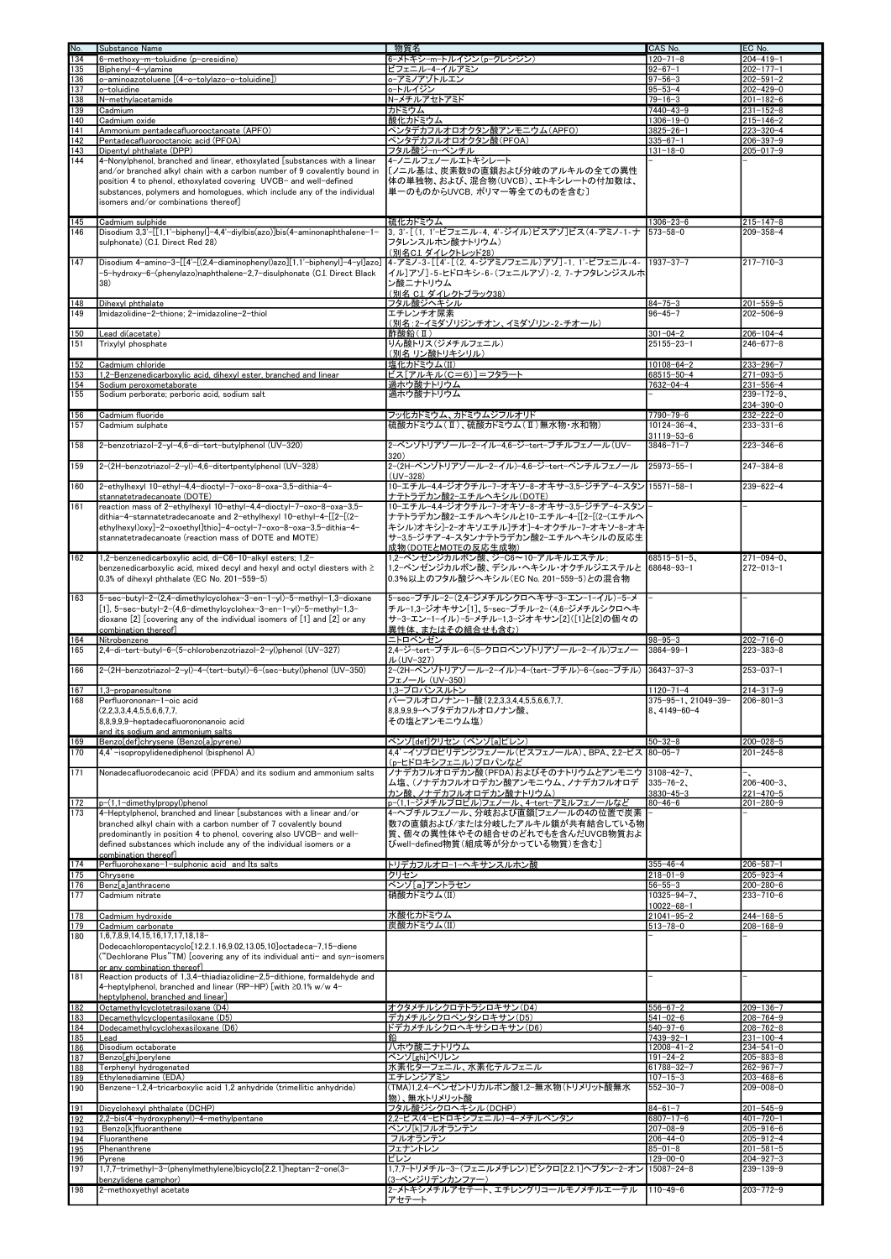| No.               | Substance Name                                                                                                                                                                                                                                                                                                                                                              | 物質名                                                                                                                                                                                              | CAS No.                                              | EC No.                                                         |
|-------------------|-----------------------------------------------------------------------------------------------------------------------------------------------------------------------------------------------------------------------------------------------------------------------------------------------------------------------------------------------------------------------------|--------------------------------------------------------------------------------------------------------------------------------------------------------------------------------------------------|------------------------------------------------------|----------------------------------------------------------------|
| 134               | 6-methoxy-m-toluidine (p-cresidine)                                                                                                                                                                                                                                                                                                                                         | 6-メトキシ-m-トルイジン(p-クレシジン)                                                                                                                                                                          | $120 - 71 - 8$                                       | $204 - 419 - 1$                                                |
| 135               | Biphenyl-4-ylamine                                                                                                                                                                                                                                                                                                                                                          | ビフェニル-4-イルアミン                                                                                                                                                                                    | $92 - 67 - 1$                                        | $202 - 177 - 1$                                                |
| 136               | o-aminoazotoluene [(4-o-tolylazo-o-toluidine])                                                                                                                                                                                                                                                                                                                              | o−アミノアゾトルエン                                                                                                                                                                                      | $97 - 56 - 3$                                        | $202 - 591 - 2$                                                |
| 137               | o-toluidine                                                                                                                                                                                                                                                                                                                                                                 | o-トルイジン                                                                                                                                                                                          | $95 - 53 - 4$                                        | $202 - 429 - 0$                                                |
| 138               | N-methylacetamide                                                                                                                                                                                                                                                                                                                                                           | N-メチルアセトアミド                                                                                                                                                                                      | $79 - 16 - 3$                                        | $201 - 182 - 6$                                                |
| 139               | Cadmium                                                                                                                                                                                                                                                                                                                                                                     | カドミウム                                                                                                                                                                                            | $7440 - 43 - 9$                                      | $231 - 152 - 8$                                                |
| 140               | Cadmium oxide                                                                                                                                                                                                                                                                                                                                                               | 酸化カドミウム                                                                                                                                                                                          | $1306 - 19 - 0$                                      | $215 - 146 - 2$                                                |
| 141               | Ammonium pentadecafluorooctanoate (APFO)                                                                                                                                                                                                                                                                                                                                    | ペンタデカフルオロオクタン酸アンモニウム(APFO)                                                                                                                                                                       | $3825 - 26 - 1$                                      | $223 - 320 - 4$                                                |
| 142               | Pentadecafluorooctanoic acid (PFOA)                                                                                                                                                                                                                                                                                                                                         | ペンタデカフルオロオクタン酸(PFOA)                                                                                                                                                                             | $335 - 67 - 1$                                       | $206 - 397 - 9$                                                |
| 143<br>144        | Dipentyl phthalate (DPP)<br>4-Nonylphenol, branched and linear, ethoxylated [substances with a linear<br>and/or branched alkyl chain with a carbon number of 9 covalently bound in<br>position 4 to phenol, ethoxylated covering UVCB- and well-defined<br>substances, polymers and homologues, which include any of the individual<br>isomers and/or combinations thereof] | フタル酸ジーnーペンチル<br>4-ノニルフェノールエトキシレート<br>[/ニル基は、炭素数9の直鎖および分岐のアルキルの全ての異性<br>体の単独物、および、混合物(UVCB)、エトキシレートの付加数は、<br>単一のものからUVCB,ポリマー等全てのものを含む〕                                                           | $131 - 18 - 0$                                       | $205 - 017 - 9$                                                |
| 145               | Cadmium sulphide                                                                                                                                                                                                                                                                                                                                                            | 硫化カドミウム                                                                                                                                                                                          | $1306 - 23 - 6$                                      | $215 - 147 - 8$                                                |
| 146               | Disodium 3,3'-[[1,1'-biphenyl]-4,4'-diylbis(azo)]bis(4-aminonaphthalene-1-                                                                                                                                                                                                                                                                                                  | 3, 3'-[(1, 1'-ビフェニル-4, 4'-ジイル)ビスアゾ]ビス(4-アミノ-1-ナ                                                                                                                                                  | $573 - 58 - 0$                                       | $209 - 358 - 4$                                                |
|                   | sulphonate) (C.I. Direct Red 28)                                                                                                                                                                                                                                                                                                                                            | フタレンスルホン酸ナトリウム)                                                                                                                                                                                  |                                                      |                                                                |
|                   |                                                                                                                                                                                                                                                                                                                                                                             | <u>(別名C.I. ダイレクトレッド28)</u>                                                                                                                                                                       |                                                      |                                                                |
| 147               | Disodium 4-amino-3-[[4'-[(2,4-diaminophenyl)azo][1,1'-biphenyl]-4-yl]azo]<br>-5-hydroxy-6-(phenylazo)naphthalene-2,7-disulphonate (C.I. Direct Black<br>38)                                                                                                                                                                                                                 | 4-アミノ-3-[[4'-[(2,4-ジアミノフェニル)アゾ]-1,1'-ビフェニル-4-<br> イル]アゾ]-5-ヒドロキシ-6-(フェニルアゾ)-2, 7-ナフタレンジスルホ<br>ン酸ニナトリウム<br><u>(別名 C.I. ダイレクトブラック38)</u>                                                           | $1937 - 37 - 7$                                      | $217 - 710 - 3$                                                |
| 148               | Dihexyl phthalate                                                                                                                                                                                                                                                                                                                                                           | フタル酸ジヘキシル                                                                                                                                                                                        | $84 - 75 - 3$                                        | $201 - 559 - 5$                                                |
| 149               | Imidazolidine-2-thione; 2-imidazoline-2-thiol                                                                                                                                                                                                                                                                                                                               | エチレンチオ尿素                                                                                                                                                                                         | $96 - 45 - 7$                                        | $202 - 506 - 9$                                                |
|                   |                                                                                                                                                                                                                                                                                                                                                                             | (別名:2ーイミダゾリジンチオン、イミダゾリン-2-チオール)                                                                                                                                                                  |                                                      |                                                                |
| 150               | Lead di(acetate)                                                                                                                                                                                                                                                                                                                                                            | 酢酸鉛(Ⅱ)                                                                                                                                                                                           | $301 - 04 - 2$                                       | $206 - 104 - 4$                                                |
| 151               | Trixylyl phosphate                                                                                                                                                                                                                                                                                                                                                          | りん酸トリス(ジメチルフェニル)                                                                                                                                                                                 | $25155 - 23 - 1$                                     | $246 - 677 - 8$                                                |
|                   |                                                                                                                                                                                                                                                                                                                                                                             | (別名 リン酸トリキシリル)                                                                                                                                                                                   |                                                      |                                                                |
| 152               | Cadmium chloride                                                                                                                                                                                                                                                                                                                                                            | 塩化カドミウム(II)                                                                                                                                                                                      | $10108 - 64 - 2$                                     | $233 - 296 - 7$                                                |
| 153               | 1,2-Benzenedicarboxylic acid, dihexyl ester, branched and linear                                                                                                                                                                                                                                                                                                            | ビス[アルキル(C=6)]=フタラート                                                                                                                                                                              | 68515-50-4                                           | $271 - 093 - 5$                                                |
| 154               | Sodium peroxometaborate                                                                                                                                                                                                                                                                                                                                                     | 過ホウ酸ナトリウム                                                                                                                                                                                        | $7632 - 04 - 4$                                      | $231 - 556 - 4$                                                |
| 155               | Sodium perborate; perboric acid, sodium salt                                                                                                                                                                                                                                                                                                                                | 過ホウ酸ナトリウム                                                                                                                                                                                        |                                                      | $239 - 172 - 9$                                                |
|                   |                                                                                                                                                                                                                                                                                                                                                                             |                                                                                                                                                                                                  |                                                      | 234-390-0                                                      |
| 156               | Cadmium fluoride                                                                                                                                                                                                                                                                                                                                                            | フッ化カドミウム、カドミウムジフルオリド                                                                                                                                                                             | $7790 - 79 - 6$                                      | $232 - 222 - 0$                                                |
| 157               | Cadmium sulphate                                                                                                                                                                                                                                                                                                                                                            | 硫酸カドミウム(Ⅱ)、硫酸カドミウム(Ⅱ)無水物・水和物)                                                                                                                                                                    | $10124 - 36 - 4$                                     | $233 - 331 - 6$                                                |
|                   |                                                                                                                                                                                                                                                                                                                                                                             |                                                                                                                                                                                                  | $31119 - 53 - 6$                                     |                                                                |
| 158               | 2-benzotriazol-2-yl-4,6-di-tert-butylphenol (UV-320)                                                                                                                                                                                                                                                                                                                        | 2-ベンゾトリアゾール-2-イル-4,6-ジ-tert-ブチルフェノール (UV-                                                                                                                                                        | $3846 - 71 - 7$                                      | $223 - 346 - 6$                                                |
|                   |                                                                                                                                                                                                                                                                                                                                                                             | 320)                                                                                                                                                                                             |                                                      |                                                                |
| 159               | 2-(2H-benzotriazol-2-yl)-4,6-ditertpentylphenol (UV-328)                                                                                                                                                                                                                                                                                                                    | 2-(2H-ベンゾトリアゾール-2-イル)-4,6-ジ-tert-ペンチルフェノール                                                                                                                                                       | $25973 - 55 - 1$                                     | $247 - 384 - 8$                                                |
|                   |                                                                                                                                                                                                                                                                                                                                                                             | $(UV - 328)$                                                                                                                                                                                     |                                                      |                                                                |
| 160               | 2-ethylhexyl 10-ethyl-4,4-dioctyl-7-oxo-8-oxa-3,5-dithia-4-                                                                                                                                                                                                                                                                                                                 | 10-エチル-4.4-ジオクチル-7-オキソ-8-オキサ-3.5-ジチア-4-スタン                                                                                                                                                       | $15571 - 58 - 1$                                     | $239 - 622 - 4$                                                |
|                   | stannatetradecanoate (DOTE)                                                                                                                                                                                                                                                                                                                                                 | <u>ナテトラデカン酸2-エチルヘキシル(DOTE)</u>                                                                                                                                                                   |                                                      |                                                                |
| 161               | reaction mass of 2-ethylhexyl 10-ethyl-4,4-dioctyl-7-oxo-8-oxa-3,5-<br>dithia-4-stannatetradecanoate and 2-ethylhexyl 10-ethyl-4-[[2-[(2-<br>ethylhexyl)oxy]-2-oxoethyl]thio]-4-octyl-7-oxo-8-oxa-3,5-dithia-4-<br>stannatetradecanoate (reaction mass of DOTE and MOTE)                                                                                                    | 10ーエチルー4.4ージオクチルーフーオキソー8ーオキサー3.5ージチアー4ースタン<br>ナテトラデカン酸2ーエチルヘキシルと10ーエチルー4ー[[2ー[(2ー(エチルヘ<br>キシル)オキシ]ー2ーオキソエチル]チオ]ー4ーオクチルー7ーオキソー8ーオキ<br>サー3,5ージチアー4ースタンナテトラデカン酸2ーエチルヘキシルの反応生<br>成物(DOTEとMOTEの反応生成物) |                                                      |                                                                |
| 162               | 1,2-benzenedicarboxylic acid, di-C6-10-alkyl esters; 1,2-<br>benzenedicarboxylic acid, mixed decyl and hexyl and octyl diesters with $\ge$<br>0.3% of dihexyl phthalate (EC No. 201-559-5)                                                                                                                                                                                  | 1,2ーベンゼンジカルボン酸、ジーC6~10ーアルキルエステル;<br>1.2ーベンゼンジカルボン酸、デシル・ヘキシル・オクチルジエステルと<br>0.3%以上のフタル酸ジへキシル(EC No. 201-559-5)との混合物                                                                                | $68515 - 51 - 5$<br>68648-93-1                       | $271 - 094 - 0$<br>$272 - 013 - 1$                             |
| 163               | 5-sec-butyl-2-(2,4-dimethylcyclohex-3-en-1-yl)-5-methyl-1,3-dioxane<br>[1], 5-sec-butyl-2-(4,6-dimethylcyclohex-3-en-1-yl)-5-methyl-1,3-<br>dioxane [2] [covering any of the individual isomers of [1] and [2] or any                                                                                                                                                       | 5-sec-ブチル-2-(2,4-ジメチルシクロヘキサ-3-エン-1-イル)-5-メ<br> チル−1,3−ジオキサン[1]、5−sec−ブチル−2−(4,6−ジメチルシクロヘキ<br>サー3ーエンー1ーイル)ー5ーメチルー1,3ージオキサン[2]([1]と[2]の個々の<br>異性体、またはその組合せも含む)                                     |                                                      |                                                                |
|                   | combination thereof<br>Nitrobenzene                                                                                                                                                                                                                                                                                                                                         | ニトロベンゼン                                                                                                                                                                                          | $98 - 95 - 3$                                        | $202 - 716 - 0$                                                |
|                   |                                                                                                                                                                                                                                                                                                                                                                             |                                                                                                                                                                                                  |                                                      |                                                                |
| 164               |                                                                                                                                                                                                                                                                                                                                                                             |                                                                                                                                                                                                  |                                                      |                                                                |
| 165               | 2,4-di-tert-butyl-6-(5-chlorobenzotriazol-2-yl)phenol (UV-327)                                                                                                                                                                                                                                                                                                              | 2,4-ジ-tert-ブチル-6-(5-クロロベンゾトリアゾール-2-イル)フェノー                                                                                                                                                       | $3864 - 99 - 1$                                      | $223 - 383 - 8$                                                |
|                   |                                                                                                                                                                                                                                                                                                                                                                             | ル(UV-327)                                                                                                                                                                                        |                                                      |                                                                |
| 166               | 2-(2H-benzotriazol-2-yl)-4-(tert-butyl)-6-(sec-butyl)phenol (UV-350)                                                                                                                                                                                                                                                                                                        | 2-(2H-ベンゾトリアゾール-2-イル)-4-(tert-ブチル)-6-(sec-ブチル)                                                                                                                                                   | $36437 - 37 - 3$                                     | $253 - 037 - 1$                                                |
|                   |                                                                                                                                                                                                                                                                                                                                                                             | フェノール (UV-350)                                                                                                                                                                                   |                                                      |                                                                |
| 167<br>168        | 1,3-propanesultone<br>Perfluorononan-1-oic acid<br>(2,2,3,3,4,4,5,5,6,6,7,7,<br>8,8,9,9,9-heptadecafluorononanoic acid                                                                                                                                                                                                                                                      | 1,3-プロパンスルトン<br>パーフルオロノナン-1-酸(2,2,3,3,4,4,5,5,6,6,7,7,<br>8.8.9.9.9 へプタデカフルオロノナン酸.<br>その塩とアンモニウム塩)                                                                                               | 1120-71-4<br>375-95-1, 21049-39-<br>$8,4149-60-4$    | $214 - 317 - 9$<br>$206 - 801 - 3$                             |
|                   | and its sodium and ammonium salts                                                                                                                                                                                                                                                                                                                                           |                                                                                                                                                                                                  |                                                      |                                                                |
| 169               | Benzo[def]chrysene (Benzo[a]pyrene)                                                                                                                                                                                                                                                                                                                                         | ベンゾ[def]クリセン (ベンゾ[a]ピレン)                                                                                                                                                                         | $50 - 32 - 8$                                        | $200 - 028 - 5$                                                |
| 170               | 4,4'-isopropylidenediphenol (bisphenol A)                                                                                                                                                                                                                                                                                                                                   | 4.4' -イソプロピリデンジフェノール (ビスフェノールA)、BPA、2.2-ビス                                                                                                                                                       | $80 - 05 - 7$                                        | $201 - 245 - 8$                                                |
| 171               | Nonadecafluorodecanoic acid (PFDA) and its sodium and ammonium salts                                                                                                                                                                                                                                                                                                        | (p-ヒドロキシフェニル)プロパンなど<br>ノナデカフルオロデカン酸(PFDA)およびそのナトリウムとアンモニウ<br>ム塩、(ノナデカフルオロデカン酸アンモニウム、ノナデカフルオロデ<br>カン酸、ノナデカフルオロデカン酸ナトリウム)                                                                          | $3108 - 42 - 7$<br>$335 - 76 - 2$<br>$3830 - 45 - 3$ | $\overline{\phantom{a}}$<br>$206 - 400 - 3$<br>$221 - 470 - 5$ |
| 172               | p-(1,1-dimethylpropyl)phenol                                                                                                                                                                                                                                                                                                                                                | p-(1,1-ジメチルプロピル)フェノール、4-tert-アミルフェノールなど                                                                                                                                                          | $80 - 46 - 6$                                        | $201 - 280 - 9$                                                |
| 173               | 4-Heptylphenol, branched and linear [substances with a linear and/or<br>branched alkyl chain with a carbon number of 7 covalently bound<br>predominantly in position 4 to phenol, covering also UVCB- and well-<br>defined substances which include any of the individual isomers or a<br>combination thereofl                                                              | 4-ヘプチルフェノール、分岐および直鎖[フェノールの4の位置で炭素<br>数7の直鎖および/または分岐したアルキル鎖が共有結合している物<br>質、個々の異性体やその組合せのどれでもを含んだUVCB物質およ<br>びwell-defined物質(組成等が分かっている物質)を含む]                                                     |                                                      |                                                                |
|                   | Perfluorohexane-1-sulphonic acid and Its salts                                                                                                                                                                                                                                                                                                                              | トリデカフルオロ-1-ヘキサンスルホン酸                                                                                                                                                                             | $355 - 46 - 4$                                       | $206 - 587 - 1$                                                |
| 175               | Chrysene                                                                                                                                                                                                                                                                                                                                                                    | クリセン                                                                                                                                                                                             | $218 - 01 - 9$                                       | $205 - 923 - 4$                                                |
| 176               | Benz[a]anthracene                                                                                                                                                                                                                                                                                                                                                           | ベンゾ[a]アントラセン                                                                                                                                                                                     | $56 - 55 - 3$                                        | $200 - 280 - 6$                                                |
| 177               | Cadmium nitrate                                                                                                                                                                                                                                                                                                                                                             | 硝酸カドミウム(II)                                                                                                                                                                                      | $10325 - 94 - 7$                                     | $233 - 710 - 6$                                                |
|                   |                                                                                                                                                                                                                                                                                                                                                                             |                                                                                                                                                                                                  | $10022 - 68 - 1$                                     |                                                                |
| 178               | Cadmium hydroxide                                                                                                                                                                                                                                                                                                                                                           | 水酸化カドミウム                                                                                                                                                                                         | $21041 - 95 - 2$                                     | $244 - 168 - 5$                                                |
| 174<br>179<br>180 | Cadmium carbonate<br>1,6,7,8,9,14,15,16,17,17,18,18-<br>Dodecachloropentacyclo[12.2.1.16,9.02,13.05,10]octadeca-7,15-diene<br>("Dechlorane Plus"TM) [covering any of its individual anti- and syn-isomers                                                                                                                                                                   | 炭酸カドミウム(II)                                                                                                                                                                                      | $513 - 78 - 0$                                       | $208 - 168 - 9$                                                |
| 181               | or any combination thereof<br>Reaction products of 1,3,4-thiadiazolidine-2,5-dithione, formaldehyde and<br>4-heptylphenol, branched and linear (RP-HP) [with 20.1% w/w 4-<br>heptylphenol, branched and linear]                                                                                                                                                             |                                                                                                                                                                                                  |                                                      |                                                                |
| 182               | Octamethylcyclotetrasiloxane (D4)                                                                                                                                                                                                                                                                                                                                           | オクタメチルシクロテトラシロキサン(D4)                                                                                                                                                                            | $556 - 67 - 2$                                       | $209 - 136 - 7$                                                |
| 183               | Decamethylcyclopentasiloxane (D5)                                                                                                                                                                                                                                                                                                                                           | デカメチルシクロペンタシロキサン(D5)                                                                                                                                                                             | $541 - 02 - 6$                                       | $208 - 764 - 9$                                                |
| 184               | Dodecamethylcyclohexasiloxane (D6)                                                                                                                                                                                                                                                                                                                                          | ドデカメチルシクロヘキサシロキサン(D6)                                                                                                                                                                            | $540 - 97 - 6$                                       | $208 - 762 - 8$                                                |
| 185               | Lead                                                                                                                                                                                                                                                                                                                                                                        | 鉛                                                                                                                                                                                                | $7439 - 92 - 1$                                      | $231 - 100 - 4$                                                |
| 186               | Disodium octaborate                                                                                                                                                                                                                                                                                                                                                         | ハホウ酸ニナトリウム                                                                                                                                                                                       | $12008 - 41 - 2$                                     | $234 - 541 - 0$                                                |
| 187               | Benzo[ghi]perylene                                                                                                                                                                                                                                                                                                                                                          | ベンゾ[ghi]ペリレン                                                                                                                                                                                     | $191 - 24 - 2$                                       | $205 - 883 - 8$                                                |
| 188               | Terphenyl hydrogenated                                                                                                                                                                                                                                                                                                                                                      | 水素化ターフェニル、水素化テルフェニル                                                                                                                                                                              | $61788 - 32 - 7$                                     | $262 - 967 - 7$                                                |
| 189               | Ethylenediamine (EDA)                                                                                                                                                                                                                                                                                                                                                       | エチレンジアミン                                                                                                                                                                                         | $107 - 15 - 3$                                       | $203 - 468 - 6$                                                |
| 190<br>191        | Benzene-1,2,4-tricarboxylic acid 1,2 anhydride (trimellitic anhydride)<br>Dicyclohexyl phthalate (DCHP)                                                                                                                                                                                                                                                                     | (TMA)1,2,4-ベンゼントリカルボン酸1,2-無水物(トリメリット酸無水<br>物)、無水トリメリット酸<br>フタル酸ジシクロヘキシル(DCHP)                                                                                                                    | $552 - 30 - 7$<br>$84 - 61 - 7$                      | $209 - 008 - 0$<br>$201 - 545 - 9$                             |
| 192               | 2,2-bis(4'-hydroxyphenyl)-4-methylpentane                                                                                                                                                                                                                                                                                                                                   | 2.2-ビス(4'-ヒドロキシフェニル)-4-メチルペンタン                                                                                                                                                                   | $6807 - 17 - 6$                                      | $401 - 720 - 1$                                                |
| 193               | <b>Benzo</b> <sup>[k]</sup> fluoranthene                                                                                                                                                                                                                                                                                                                                    | ベンゾ[k]フルオランテン                                                                                                                                                                                    | $207 - 08 - 9$                                       | $205 - 916 - 6$                                                |
| 194               | Fluoranthene                                                                                                                                                                                                                                                                                                                                                                | フルオランテン                                                                                                                                                                                          | $206 - 44 - 0$                                       | $205 - 912 - 4$                                                |
| 195               | Phenanthrene                                                                                                                                                                                                                                                                                                                                                                | フェナントレン                                                                                                                                                                                          | $85 - 01 - 8$                                        | $201 - 581 - 5$                                                |
| 196               | Pyrene                                                                                                                                                                                                                                                                                                                                                                      | ビレン                                                                                                                                                                                              | 129-00-0                                             | $204 - 927 - 3$                                                |
| 197               | 1,7,7-trimethyl-3-(phenylmethylene)bicyclo[2.2.1]heptan-2-one(3-<br>benzylidene camphor)                                                                                                                                                                                                                                                                                    | 1,7,7-トリメチル-3-(フェニルメチレン)ビシクロ[2.2.1]ヘプタン-2-オン<br>(3-ベンジリデンカンファー)                                                                                                                                  | $15087 - 24 - 8$                                     | $239 - 139 - 9$                                                |